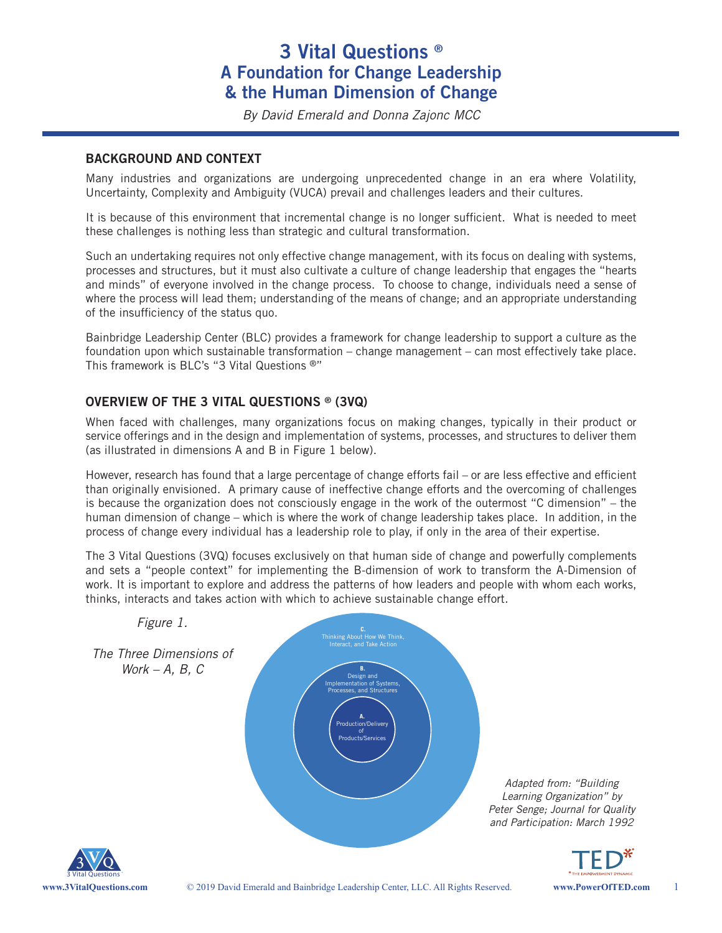## **3 Vital Questions ® A Foundation for Change Leadership & the Human Dimension of Change**

*By David Emerald and Donna Zajonc MCC*

#### **BACKGROUND AND CONTEXT**

Many industries and organizations are undergoing unprecedented change in an era where Volatility, Uncertainty, Complexity and Ambiguity (VUCA) prevail and challenges leaders and their cultures.

It is because of this environment that incremental change is no longer sufficient. What is needed to meet these challenges is nothing less than strategic and cultural transformation.

Such an undertaking requires not only effective change management, with its focus on dealing with systems, processes and structures, but it must also cultivate a culture of change leadership that engages the "hearts and minds" of everyone involved in the change process. To choose to change, individuals need a sense of where the process will lead them; understanding of the means of change; and an appropriate understanding of the insufficiency of the status quo.

Bainbridge Leadership Center (BLC) provides a framework for change leadership to support a culture as the foundation upon which sustainable transformation – change management – can most effectively take place. This framework is BLC's "3 Vital Questions ®"

#### **OVERVIEW OF THE 3 VITAL QUESTIONS ® (3VQ)**

When faced with challenges, many organizations focus on making changes, typically in their product or service offerings and in the design and implementation of systems, processes, and structures to deliver them (as illustrated in dimensions A and B in Figure 1 below).

However, research has found that a large percentage of change efforts fail – or are less effective and efficient than originally envisioned. A primary cause of ineffective change efforts and the overcoming of challenges is because the organization does not consciously engage in the work of the outermost "C dimension" – the human dimension of change – which is where the work of change leadership takes place. In addition, in the process of change every individual has a leadership role to play, if only in the area of their expertise.

The 3 Vital Questions (3VQ) focuses exclusively on that human side of change and powerfully complements and sets a "people context" for implementing the B-dimension of work to transform the A-Dimension of work. It is important to explore and address the patterns of how leaders and people with whom each works, thinks, interacts and takes action with which to achieve sustainable change effort.



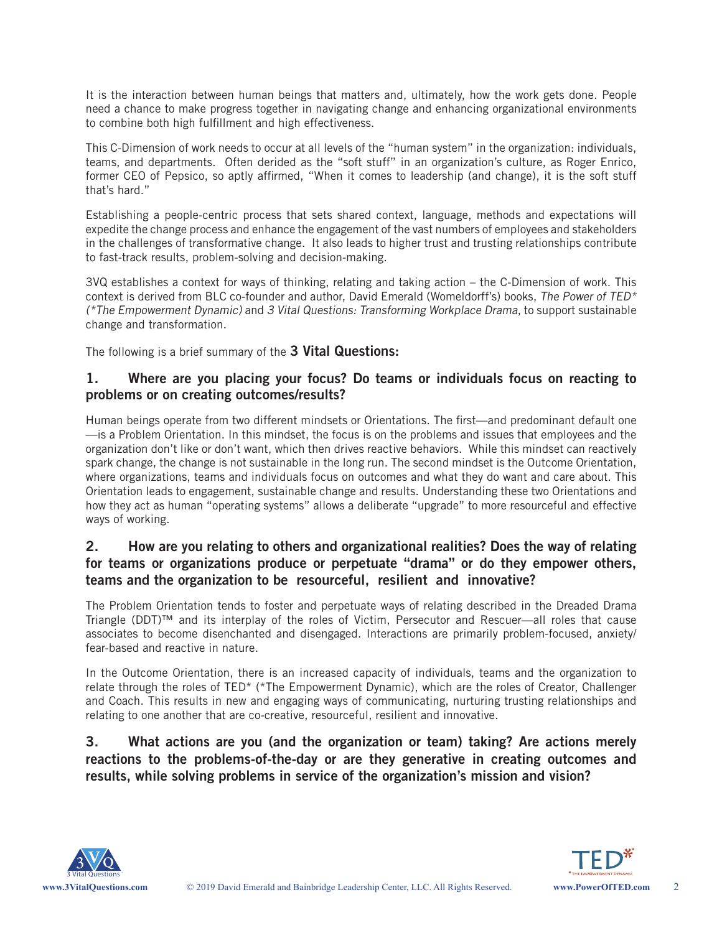It is the interaction between human beings that matters and, ultimately, how the work gets done. People need a chance to make progress together in navigating change and enhancing organizational environments to combine both high fulfillment and high effectiveness.

This C-Dimension of work needs to occur at all levels of the "human system" in the organization: individuals, teams, and departments. Often derided as the "soft stuff" in an organization's culture, as Roger Enrico, former CEO of Pepsico, so aptly affirmed, "When it comes to leadership (and change), it is the soft stuff that's hard."

Establishing a people-centric process that sets shared context, language, methods and expectations will expedite the change process and enhance the engagement of the vast numbers of employees and stakeholders in the challenges of transformative change. It also leads to higher trust and trusting relationships contribute to fast-track results, problem-solving and decision-making.

3VQ establishes a context for ways of thinking, relating and taking action – the C-Dimension of work. This context is derived from BLC co-founder and author, David Emerald (Womeldorff's) books, The Power of TED\* (\*The Empowerment Dynamic) and 3 Vital Questions: Transforming Workplace Drama, to support sustainable change and transformation.

The following is a brief summary of the **3 Vital Questions:**

#### **1. Where are you placing your focus? Do teams or individuals focus on reacting to problems or on creating outcomes/results?**

Human beings operate from two different mindsets or Orientations. The first—and predominant default one —is a Problem Orientation. In this mindset, the focus is on the problems and issues that employees and the organization don't like or don't want, which then drives reactive behaviors. While this mindset can reactively spark change, the change is not sustainable in the long run. The second mindset is the Outcome Orientation, where organizations, teams and individuals focus on outcomes and what they do want and care about. This Orientation leads to engagement, sustainable change and results. Understanding these two Orientations and how they act as human "operating systems" allows a deliberate "upgrade" to more resourceful and effective ways of working.

#### **2. How are you relating to others and organizational realities? Does the way of relating for teams or organizations produce or perpetuate "drama" or do they empower others, teams and the organization to be resourceful, resilient and innovative?**

The Problem Orientation tends to foster and perpetuate ways of relating described in the Dreaded Drama Triangle (DDT)™ and its interplay of the roles of Victim, Persecutor and Rescuer—all roles that cause associates to become disenchanted and disengaged. Interactions are primarily problem-focused, anxiety/ fear-based and reactive in nature.

In the Outcome Orientation, there is an increased capacity of individuals, teams and the organization to relate through the roles of TED\* (\*The Empowerment Dynamic), which are the roles of Creator, Challenger and Coach. This results in new and engaging ways of communicating, nurturing trusting relationships and relating to one another that are co-creative, resourceful, resilient and innovative.

**3. What actions are you (and the organization or team) taking? Are actions merely reactions to the problems-of-the-day or are they generative in creating outcomes and results, while solving problems in service of the organization's mission and vision?**